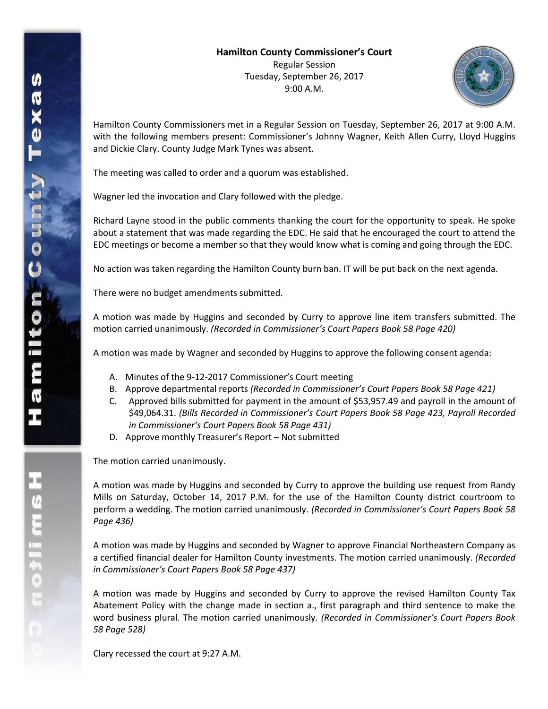

Hamilton County Commissioners met in a Regular Session on Tuesday, September 26, 2017 at 9:00 A.M. with the following members present: Commissioner's Johnny Wagner, Keith Allen Curry, Lloyd Huggins and Dickie Clary. County Judge Mark Tynes was absent.

The meeting was called to order and a quorum was established.

Wagner led the invocation and Clary followed with the pledge.

Richard Layne stood in the public comments thanking the court for the opportunity to speak. He spoke about a statement that was made regarding the EDC. He said that he encouraged the court to attend the EDC meetings or become a member so that they would know what is coming and going through the EDC.

No action was taken regarding the Hamilton County burn ban. IT will be put back on the next agenda.

There were no budget amendments submitted.

A motion was made by Huggins and seconded by Curry to approve line item transfers submitted. The motion carried unanimously. *(Recorded in Commissioner's Court Papers Book 58 Page 420)*

A motion was made by Wagner and seconded by Huggins to approve the following consent agenda:

- A. Minutes of the 9-12-2017 Commissioner's Court meeting
- B. Approve departmental reports *(Recorded in Commissioner's Court Papers Book 58 Page 421)*
- C. Approved bills submitted for payment in the amount of \$53,957.49 and payroll in the amount of \$49,064.31. *(Bills Recorded in Commissioner's Court Papers Book 58 Page 423, Payroll Recorded in Commissioner's Court Papers Book 58 Page 431)*
- D. Approve monthly Treasurer's Report Not submitted

The motion carried unanimously.

A motion was made by Huggins and seconded by Curry to approve the building use request from Randy Mills on Saturday, October 14, 2017 P.M. for the use of the Hamilton County district courtroom to perform a wedding. The motion carried unanimously. *(Recorded in Commissioner's Court Papers Book 58 Page 436)*

A motion was made by Huggins and seconded by Wagner to approve Financial Northeastern Company as a certified financial dealer for Hamilton County investments. The motion carried unanimously. *(Recorded in Commissioner's Court Papers Book 58 Page 437)*

A motion was made by Huggins and seconded by Curry to approve the revised Hamilton County Tax Abatement Policy with the change made in section a., first paragraph and third sentence to make the word business plural. The motion carried unanimously. *(Recorded in Commissioner's Court Papers Book 58 Page 528)*

Clary recessed the court at 9:27 A.M.

エム こっこう